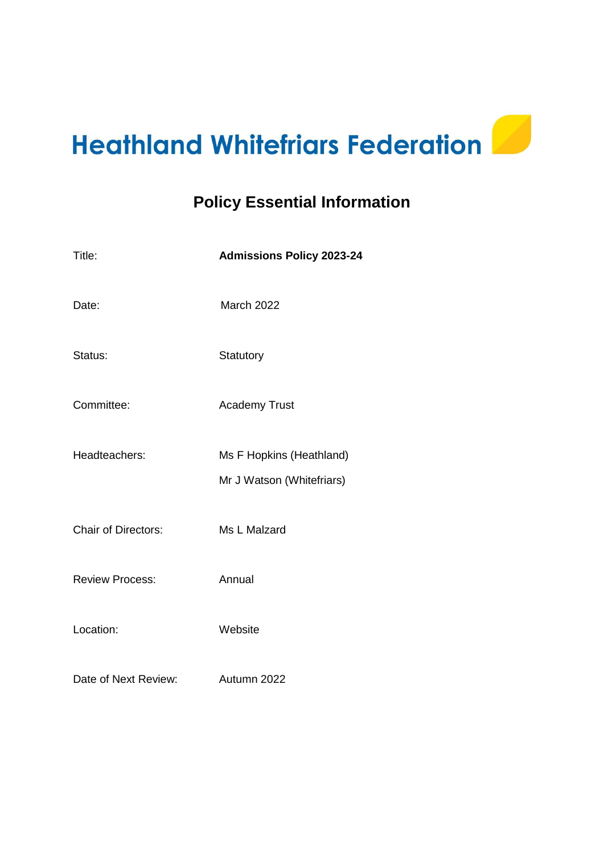# **Heathland Whitefriars Federation**

# **Policy Essential Information**

| Title:                     | <b>Admissions Policy 2023-24</b>                      |  |
|----------------------------|-------------------------------------------------------|--|
| Date:                      | March 2022                                            |  |
| Status:                    | Statutory                                             |  |
| Committee:                 | <b>Academy Trust</b>                                  |  |
| Headteachers:              | Ms F Hopkins (Heathland)<br>Mr J Watson (Whitefriars) |  |
| <b>Chair of Directors:</b> | Ms L Malzard                                          |  |
| <b>Review Process:</b>     | Annual                                                |  |
| Location:                  | Website                                               |  |
| Date of Next Review:       | Autumn 2022                                           |  |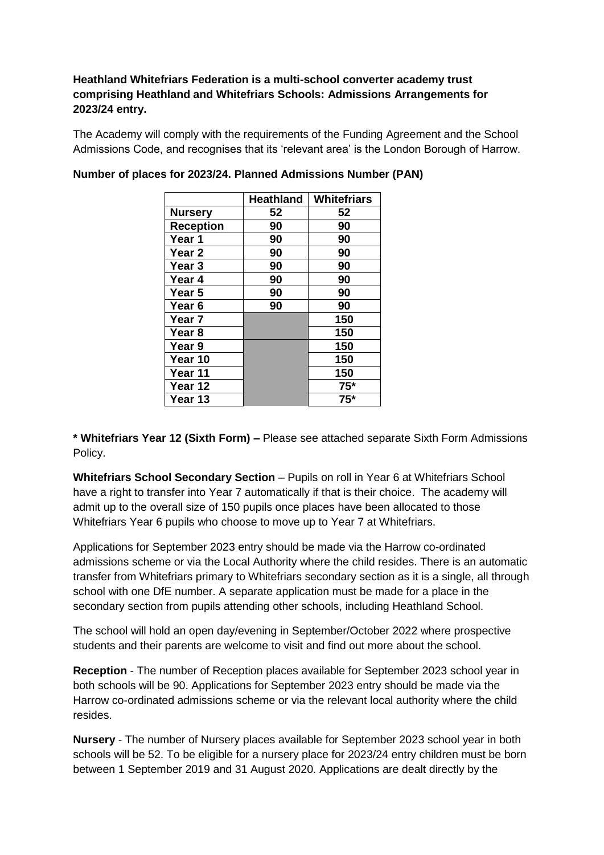# **Heathland Whitefriars Federation is a multi-school converter academy trust comprising Heathland and Whitefriars Schools: Admissions Arrangements for 2023/24 entry.**

The Academy will comply with the requirements of the Funding Agreement and the School Admissions Code, and recognises that its 'relevant area' is the London Borough of Harrow.

|                   | <b>Heathland</b> | <b>Whitefriars</b> |
|-------------------|------------------|--------------------|
| <b>Nursery</b>    | 52               | 52                 |
| <b>Reception</b>  | 90               | 90                 |
| Year 1            | 90               | 90                 |
| Year 2            | 90               | 90                 |
| Year <sub>3</sub> | 90               | 90                 |
| Year 4            | 90               | 90                 |
| Year 5            | 90               | 90                 |
| Year 6            | 90               | 90                 |
| Year 7            |                  | 150                |
| Year <sub>8</sub> |                  | 150                |
| Year 9            |                  | 150                |
| Year 10           |                  | 150                |
| Year 11           |                  | 150                |
| Year 12           |                  | $75*$              |
| Year 13           |                  | $75*$              |

**Number of places for 2023/24. Planned Admissions Number (PAN)**

**\* Whitefriars Year 12 (Sixth Form) –** Please see attached separate Sixth Form Admissions Policy.

**Whitefriars School Secondary Section** – Pupils on roll in Year 6 at Whitefriars School have a right to transfer into Year 7 automatically if that is their choice. The academy will admit up to the overall size of 150 pupils once places have been allocated to those Whitefriars Year 6 pupils who choose to move up to Year 7 at Whitefriars.

Applications for September 2023 entry should be made via the Harrow co-ordinated admissions scheme or via the Local Authority where the child resides. There is an automatic transfer from Whitefriars primary to Whitefriars secondary section as it is a single, all through school with one DfE number. A separate application must be made for a place in the secondary section from pupils attending other schools, including Heathland School.

The school will hold an open day/evening in September/October 2022 where prospective students and their parents are welcome to visit and find out more about the school.

**Reception** - The number of Reception places available for September 2023 school year in both schools will be 90. Applications for September 2023 entry should be made via the Harrow co-ordinated admissions scheme or via the relevant local authority where the child resides.

**Nursery** - The number of Nursery places available for September 2023 school year in both schools will be 52. To be eligible for a nursery place for 2023/24 entry children must be born between 1 September 2019 and 31 August 2020. Applications are dealt directly by the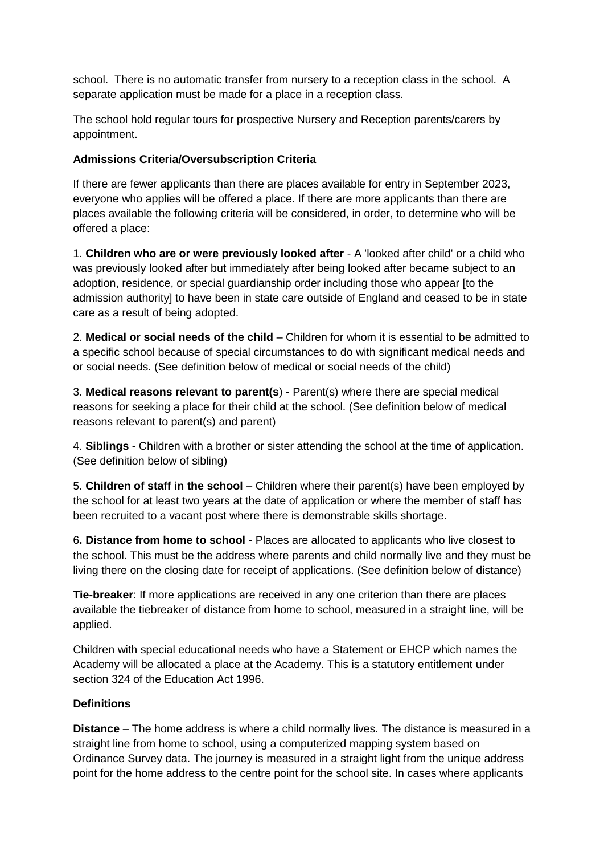school. There is no automatic transfer from nursery to a reception class in the school. A separate application must be made for a place in a reception class.

The school hold regular tours for prospective Nursery and Reception parents/carers by appointment.

# **Admissions Criteria/Oversubscription Criteria**

If there are fewer applicants than there are places available for entry in September 2023, everyone who applies will be offered a place. If there are more applicants than there are places available the following criteria will be considered, in order, to determine who will be offered a place:

1. **Children who are or were previously looked after** - A 'looked after child' or a child who was previously looked after but immediately after being looked after became subject to an adoption, residence, or special guardianship order including those who appear [to the admission authority] to have been in state care outside of England and ceased to be in state care as a result of being adopted.

2. **Medical or social needs of the child** – Children for whom it is essential to be admitted to a specific school because of special circumstances to do with significant medical needs and or social needs. (See definition below of medical or social needs of the child)

3. **Medical reasons relevant to parent(s**) - Parent(s) where there are special medical reasons for seeking a place for their child at the school. (See definition below of medical reasons relevant to parent(s) and parent)

4. **Siblings** - Children with a brother or sister attending the school at the time of application. (See definition below of sibling)

5. **Children of staff in the school** – Children where their parent(s) have been employed by the school for at least two years at the date of application or where the member of staff has been recruited to a vacant post where there is demonstrable skills shortage.

6**. Distance from home to school** - Places are allocated to applicants who live closest to the school. This must be the address where parents and child normally live and they must be living there on the closing date for receipt of applications. (See definition below of distance)

**Tie-breaker**: If more applications are received in any one criterion than there are places available the tiebreaker of distance from home to school, measured in a straight line, will be applied.

Children with special educational needs who have a Statement or EHCP which names the Academy will be allocated a place at the Academy. This is a statutory entitlement under section 324 of the Education Act 1996.

# **Definitions**

**Distance** – The home address is where a child normally lives. The distance is measured in a straight line from home to school, using a computerized mapping system based on Ordinance Survey data. The journey is measured in a straight light from the unique address point for the home address to the centre point for the school site. In cases where applicants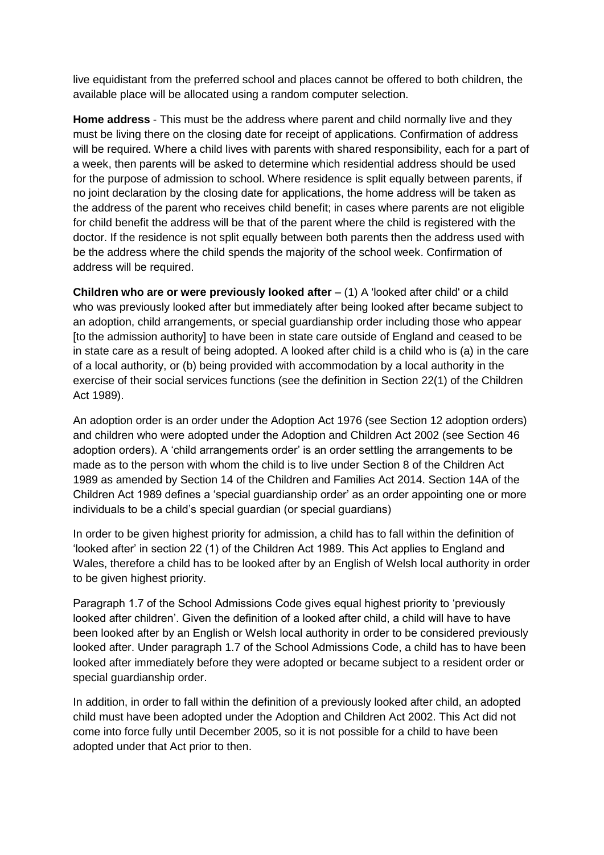live equidistant from the preferred school and places cannot be offered to both children, the available place will be allocated using a random computer selection.

**Home address** - This must be the address where parent and child normally live and they must be living there on the closing date for receipt of applications. Confirmation of address will be required. Where a child lives with parents with shared responsibility, each for a part of a week, then parents will be asked to determine which residential address should be used for the purpose of admission to school. Where residence is split equally between parents, if no joint declaration by the closing date for applications, the home address will be taken as the address of the parent who receives child benefit; in cases where parents are not eligible for child benefit the address will be that of the parent where the child is registered with the doctor. If the residence is not split equally between both parents then the address used with be the address where the child spends the majority of the school week. Confirmation of address will be required.

**Children who are or were previously looked after** – (1) A 'looked after child' or a child who was previously looked after but immediately after being looked after became subject to an adoption, child arrangements, or special guardianship order including those who appear [to the admission authority] to have been in state care outside of England and ceased to be in state care as a result of being adopted. A looked after child is a child who is (a) in the care of a local authority, or (b) being provided with accommodation by a local authority in the exercise of their social services functions (see the definition in Section 22(1) of the Children Act 1989).

An adoption order is an order under the Adoption Act 1976 (see Section 12 adoption orders) and children who were adopted under the Adoption and Children Act 2002 (see Section 46 adoption orders). A 'child arrangements order' is an order settling the arrangements to be made as to the person with whom the child is to live under Section 8 of the Children Act 1989 as amended by Section 14 of the Children and Families Act 2014. Section 14A of the Children Act 1989 defines a 'special guardianship order' as an order appointing one or more individuals to be a child's special guardian (or special guardians)

In order to be given highest priority for admission, a child has to fall within the definition of 'looked after' in section 22 (1) of the Children Act 1989. This Act applies to England and Wales, therefore a child has to be looked after by an English of Welsh local authority in order to be given highest priority.

Paragraph 1.7 of the School Admissions Code gives equal highest priority to 'previously looked after children'. Given the definition of a looked after child, a child will have to have been looked after by an English or Welsh local authority in order to be considered previously looked after. Under paragraph 1.7 of the School Admissions Code, a child has to have been looked after immediately before they were adopted or became subject to a resident order or special guardianship order.

In addition, in order to fall within the definition of a previously looked after child, an adopted child must have been adopted under the Adoption and Children Act 2002. This Act did not come into force fully until December 2005, so it is not possible for a child to have been adopted under that Act prior to then.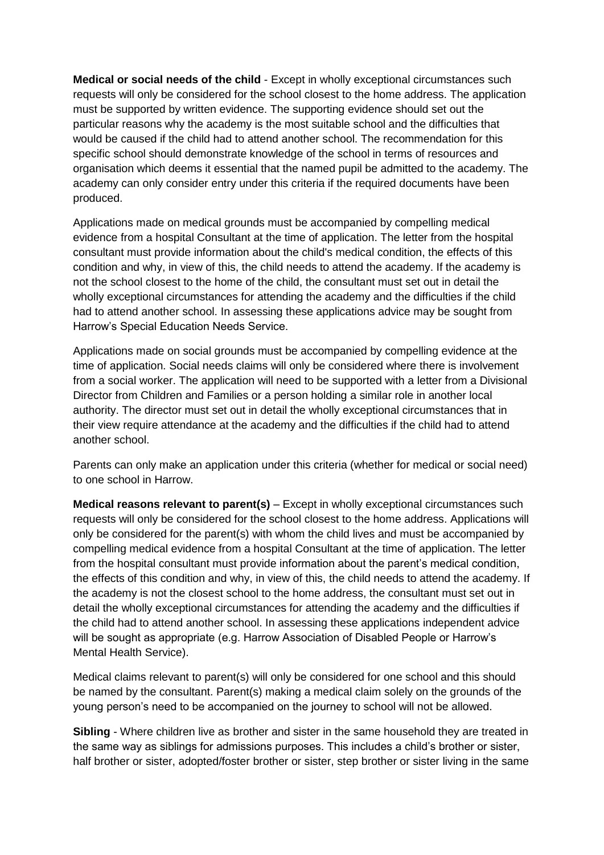**Medical or social needs of the child** - Except in wholly exceptional circumstances such requests will only be considered for the school closest to the home address. The application must be supported by written evidence. The supporting evidence should set out the particular reasons why the academy is the most suitable school and the difficulties that would be caused if the child had to attend another school. The recommendation for this specific school should demonstrate knowledge of the school in terms of resources and organisation which deems it essential that the named pupil be admitted to the academy. The academy can only consider entry under this criteria if the required documents have been produced.

Applications made on medical grounds must be accompanied by compelling medical evidence from a hospital Consultant at the time of application. The letter from the hospital consultant must provide information about the child's medical condition, the effects of this condition and why, in view of this, the child needs to attend the academy. If the academy is not the school closest to the home of the child, the consultant must set out in detail the wholly exceptional circumstances for attending the academy and the difficulties if the child had to attend another school. In assessing these applications advice may be sought from Harrow's Special Education Needs Service.

Applications made on social grounds must be accompanied by compelling evidence at the time of application. Social needs claims will only be considered where there is involvement from a social worker. The application will need to be supported with a letter from a Divisional Director from Children and Families or a person holding a similar role in another local authority. The director must set out in detail the wholly exceptional circumstances that in their view require attendance at the academy and the difficulties if the child had to attend another school.

Parents can only make an application under this criteria (whether for medical or social need) to one school in Harrow.

**Medical reasons relevant to parent(s)** – Except in wholly exceptional circumstances such requests will only be considered for the school closest to the home address. Applications will only be considered for the parent(s) with whom the child lives and must be accompanied by compelling medical evidence from a hospital Consultant at the time of application. The letter from the hospital consultant must provide information about the parent's medical condition, the effects of this condition and why, in view of this, the child needs to attend the academy. If the academy is not the closest school to the home address, the consultant must set out in detail the wholly exceptional circumstances for attending the academy and the difficulties if the child had to attend another school. In assessing these applications independent advice will be sought as appropriate (e.g. Harrow Association of Disabled People or Harrow's Mental Health Service).

Medical claims relevant to parent(s) will only be considered for one school and this should be named by the consultant. Parent(s) making a medical claim solely on the grounds of the young person's need to be accompanied on the journey to school will not be allowed.

**Sibling** - Where children live as brother and sister in the same household they are treated in the same way as siblings for admissions purposes. This includes a child's brother or sister, half brother or sister, adopted/foster brother or sister, step brother or sister living in the same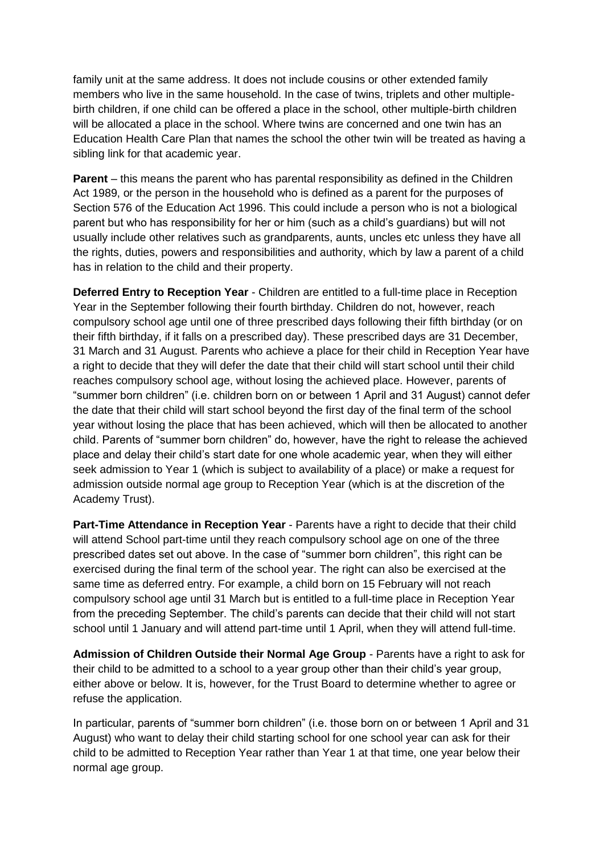family unit at the same address. It does not include cousins or other extended family members who live in the same household. In the case of twins, triplets and other multiplebirth children, if one child can be offered a place in the school, other multiple-birth children will be allocated a place in the school. Where twins are concerned and one twin has an Education Health Care Plan that names the school the other twin will be treated as having a sibling link for that academic year.

**Parent** – this means the parent who has parental responsibility as defined in the Children Act 1989, or the person in the household who is defined as a parent for the purposes of Section 576 of the Education Act 1996. This could include a person who is not a biological parent but who has responsibility for her or him (such as a child's guardians) but will not usually include other relatives such as grandparents, aunts, uncles etc unless they have all the rights, duties, powers and responsibilities and authority, which by law a parent of a child has in relation to the child and their property.

**Deferred Entry to Reception Year** - Children are entitled to a full-time place in Reception Year in the September following their fourth birthday. Children do not, however, reach compulsory school age until one of three prescribed days following their fifth birthday (or on their fifth birthday, if it falls on a prescribed day). These prescribed days are 31 December, 31 March and 31 August. Parents who achieve a place for their child in Reception Year have a right to decide that they will defer the date that their child will start school until their child reaches compulsory school age, without losing the achieved place. However, parents of "summer born children" (i.e. children born on or between 1 April and 31 August) cannot defer the date that their child will start school beyond the first day of the final term of the school year without losing the place that has been achieved, which will then be allocated to another child. Parents of "summer born children" do, however, have the right to release the achieved place and delay their child's start date for one whole academic year, when they will either seek admission to Year 1 (which is subject to availability of a place) or make a request for admission outside normal age group to Reception Year (which is at the discretion of the Academy Trust).

**Part-Time Attendance in Reception Year** - Parents have a right to decide that their child will attend School part-time until they reach compulsory school age on one of the three prescribed dates set out above. In the case of "summer born children", this right can be exercised during the final term of the school year. The right can also be exercised at the same time as deferred entry. For example, a child born on 15 February will not reach compulsory school age until 31 March but is entitled to a full-time place in Reception Year from the preceding September. The child's parents can decide that their child will not start school until 1 January and will attend part-time until 1 April, when they will attend full-time.

**Admission of Children Outside their Normal Age Group** - Parents have a right to ask for their child to be admitted to a school to a year group other than their child's year group, either above or below. It is, however, for the Trust Board to determine whether to agree or refuse the application.

In particular, parents of "summer born children" (i.e. those born on or between 1 April and 31 August) who want to delay their child starting school for one school year can ask for their child to be admitted to Reception Year rather than Year 1 at that time, one year below their normal age group.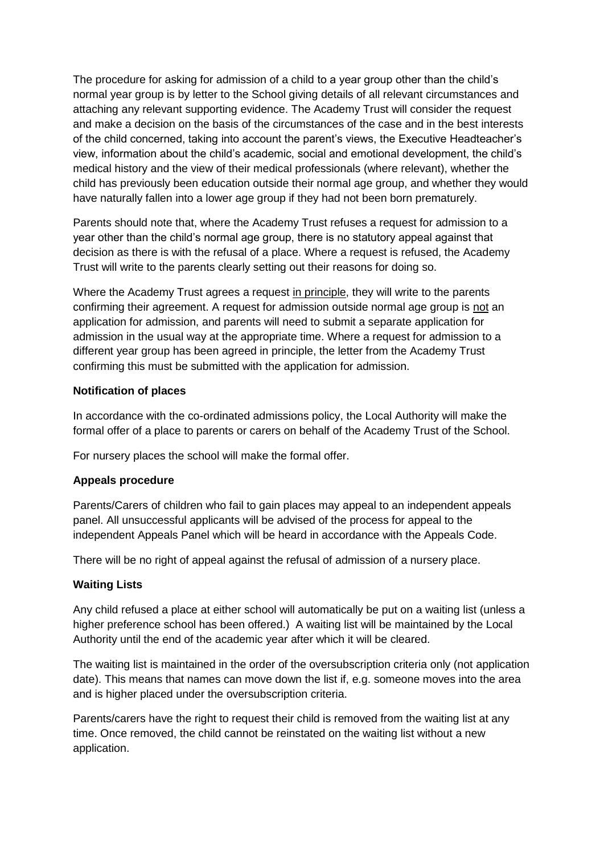The procedure for asking for admission of a child to a year group other than the child's normal year group is by letter to the School giving details of all relevant circumstances and attaching any relevant supporting evidence. The Academy Trust will consider the request and make a decision on the basis of the circumstances of the case and in the best interests of the child concerned, taking into account the parent's views, the Executive Headteacher's view, information about the child's academic, social and emotional development, the child's medical history and the view of their medical professionals (where relevant), whether the child has previously been education outside their normal age group, and whether they would have naturally fallen into a lower age group if they had not been born prematurely.

Parents should note that, where the Academy Trust refuses a request for admission to a year other than the child's normal age group, there is no statutory appeal against that decision as there is with the refusal of a place. Where a request is refused, the Academy Trust will write to the parents clearly setting out their reasons for doing so.

Where the Academy Trust agrees a request in principle, they will write to the parents confirming their agreement. A request for admission outside normal age group is not an application for admission, and parents will need to submit a separate application for admission in the usual way at the appropriate time. Where a request for admission to a different year group has been agreed in principle, the letter from the Academy Trust confirming this must be submitted with the application for admission.

#### **Notification of places**

In accordance with the co-ordinated admissions policy, the Local Authority will make the formal offer of a place to parents or carers on behalf of the Academy Trust of the School.

For nursery places the school will make the formal offer.

#### **Appeals procedure**

Parents/Carers of children who fail to gain places may appeal to an independent appeals panel. All unsuccessful applicants will be advised of the process for appeal to the independent Appeals Panel which will be heard in accordance with the Appeals Code.

There will be no right of appeal against the refusal of admission of a nursery place.

# **Waiting Lists**

Any child refused a place at either school will automatically be put on a waiting list (unless a higher preference school has been offered.) A waiting list will be maintained by the Local Authority until the end of the academic year after which it will be cleared.

The waiting list is maintained in the order of the oversubscription criteria only (not application date). This means that names can move down the list if, e.g. someone moves into the area and is higher placed under the oversubscription criteria.

Parents/carers have the right to request their child is removed from the waiting list at any time. Once removed, the child cannot be reinstated on the waiting list without a new application.